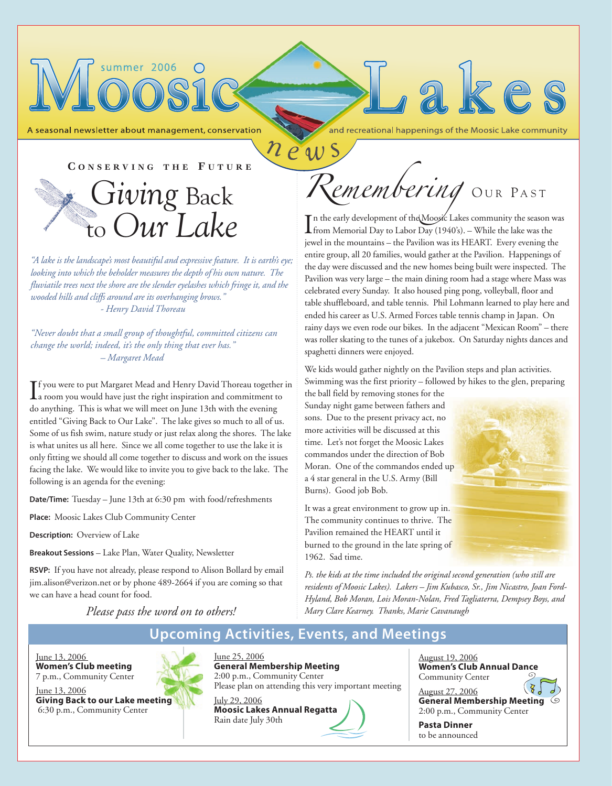A seasonal newsletter about management, conservation

summer 2006

and recreational happenings of the Moosic Lake community

akes

In the early development of the Moosic Lakes community the season<br>from Memorial Day to Labor Day (1940's). – While the lake was the In the early development of the Moosic Lakes community the season was

We kids would gather nightly on the Pavilion steps and plan activities. Swimming was the first priority – followed by hikes to the glen, preparing

spaghetti dinners were enjoyed.

news

Burns). Good job Bob.

1962. Sad time.

the ball field by removing stones for the Sunday night game between fathers and sons. Due to the present privacy act, no more activities will be discussed at this time. Let's not forget the Moosic Lakes commandos under the direction of Bob Moran. One of the commandos ended up a 4 star general in the U.S. Army (Bill

It was a great environment to grow up in. The community continues to thrive. The Pavilion remained the HEART until it burned to the ground in the late spring of

jewel in the mountains – the Pavilion was its HEART. Every evening the entire group, all 20 families, would gather at the Pavilion. Happenings of the day were discussed and the new homes being built were inspected. The Pavilion was very large – the main dining room had a stage where Mass was celebrated every Sunday. It also housed ping pong, volleyball, floor and table shuffleboard, and table tennis. Phil Lohmann learned to play here and ended his career as U.S. Armed Forces table tennis champ in Japan. On rainy days we even rode our bikes. In the adjacent "Mexican Room" – there was roller skating to the tunes of a jukebox. On Saturday nights dances and

*Remembering* OUR PAST

**C ONSERVING THE F UTURE**



*"A lake is the landscape's most beautiful and expressive feature. It is earth's eye; looking into which the beholder measures the depth of his own nature. The fluviatile trees next the shore are the slender eyelashes which fringe it, and the wooded hills and cliffs around are its overhanging brows." - Henry David Thoreau*

*"Never doubt that a small group of thoughtful, committed citizens can change the world; indeed, it's the only thing that ever has." – Margaret Mead*

If you were to put Margaret Mead and Henry David Thoreau together<br>a room you would have just the right inspiration and commitment to **T** f you were to put Margaret Mead and Henry David Thoreau together in do anything. This is what we will meet on June 13th with the evening entitled "Giving Back to Our Lake". The lake gives so much to all of us. Some of us fish swim, nature study or just relax along the shores. The lake is what unites us all here. Since we all come together to use the lake it is only fitting we should all come together to discuss and work on the issues facing the lake. We would like to invite you to give back to the lake. The following is an agenda for the evening:

*Date/Time:* Tuesday – June 13th at 6:30 pm with food/refreshments

*Place:* Moosic Lakes Club Community Center

*Description:* Overview of Lake

*Breakout Sessions* – Lake Plan, Water Quality, Newsletter

*RSVP:* If you have not already, please respond to Alison Bollard by email jim.alison@verizon.net or by phone 489-2664 if you are coming so that we can have a head count for food.

*Ps. the kids at the time included the original second generation (who still are residents of Moosic Lakes). Lakers – Jim Kubasco, Sr., Jim Nicastro, Joan Ford-Hyland, Bob Moran, Lois Moran-Nolan, Fred Tagliaterra, Dempsey Boys, and Mary Clare Kearney. Thanks, Marie Cavanaugh*

*Please pass the word on to others!* 

### *Upcoming Activities, Events, and Meetings*

June 13, 2006 *Women's Club meeting* 7 p.m., Community Center

June 13, 2006 *Giving Back to our Lake meeting* 6:30 p.m., Community Center



June 25, 2006 *General Membership Meeting* 2:00 p.m., Community Center Please plan on attending this very important meeting July 29, 2006

*Moosic Lakes Annual Regatta* Rain date July 30th



August 27, 2006 *General Membership Meeting* 2:00 p.m., Community Center

*Pasta Dinner* to be announced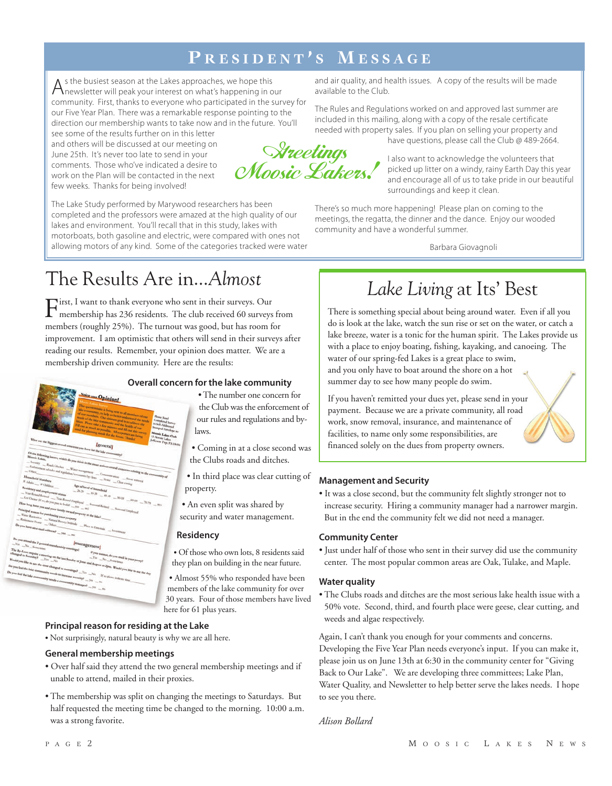### **P RESIDENT ' S M ESSAGE**

 $A$ s the busiest season at the Lakes approaches, we hope this<br>Anewsletter will peak your interest on what's happening in our community. First, thanks to everyone who participated in the survey for our Five Year Plan. There was a remarkable response pointing to the direction our membership wants to take now and in the future. You'll

see some of the results further on in this letter and others will be discussed at our meeting on June 25th. It's never too late to send in your comments. Those who've indicated a desire to work on the Plan will be contacted in the next few weeks. Thanks for being involved!

The Lake Study performed by Marywood researchers has been completed and the professors were amazed at the high quality of our lakes and environment. You'll recall that in this study, lakes with motorboats, both gasoline and electric, were compared with ones not allowing motors of any kind. Some of the categories tracked were water

The Results Are in...*Almost*

First, I want to thank everyone who sent in their surveys. Our<br>membership has 236 residents. The club received 60 surveys from members (roughly 25%). The turnout was good, but has room for improvement. I am optimistic that others will send in their surveys after reading our results. Remember, your opinion does matter. We are a membership driven community. Here are the results:

#### *Overall concern for the lake community*

- The number one concern for the Club was the enforcement of our rules and regulations and bylaws.
- Coming in at a close second was the Clubs roads and ditches.
- In third place was clear cutting of property.
- An even split was shared by security and water management.

#### *Residency*

*•* Of those who own lots, 8 residents said they plan on building in the near future.

• Almost 55% who responded have been members of the lake community for over 30 years. Four of those members have lived here for 61 plus years.

#### *Principal reason for residing at the Lake*

*•* Not surprisingly, natural beauty is why we are all here.

#### *General membership meetings*

w Opinio

*Igenerall* 

- Over half said they attend the two general membership meetings and if unable to attend, mailed in their proxies.
- The membership was split on changing the meetings to Saturdays. But half requested the meeting time be changed to the morning. 10:00 a.m. was a strong favorite.

and air quality, and health issues. A copy of the results will be made available to the Club.

The Rules and Regulations worked on and approved last summer are included in this mailing, along with a copy of the resale certificate needed with property sales. If you plan on selling your property and have questions, please call the Club @ 489-2664.

Streetings<br>Moosic Lakers!

I also want to acknowledge the volunteers that picked up litter on a windy, rainy Earth Day this year and encourage all of us to take pride in our beautiful surroundings and keep it clean.

There's so much more happening! Please plan on coming to the meetings, the regatta, the dinner and the dance. Enjoy our wooded community and have a wonderful summer.

Barbara Giovagnoli

# *Lake Living* at Its' Best

There is something special about being around water. Even if all you do is look at the lake, watch the sun rise or set on the water, or catch a lake breeze, water is a tonic for the human spirit. The Lakes provide us with a place to enjoy boating, fishing, kayaking, and canoeing. The water of our spring-fed Lakes is a great place to swim, and you only have to boat around the shore on a hot summer day to see how many people do swim.

If you haven't remitted your dues yet, please send in your payment. Because we are a private community, all road work, snow removal, insurance, and maintenance of facilities, to name only some responsibilities, are financed solely on the dues from property owners.

#### *Management and Security*

• It was a close second, but the community felt slightly stronger not to increase security. Hiring a community manager had a narrower margin. But in the end the community felt we did not need a manager.

#### *Community Center*

• Just under half of those who sent in their survey did use the community center. The most popular common areas are Oak, Tulake, and Maple.

#### *Water quality*

• The Clubs roads and ditches are the most serious lake health issue with a 50% vote. Second, third, and fourth place were geese, clear cutting, and weeds and algae respectively.

Again, I can't thank you enough for your comments and concerns. Developing the Five Year Plan needs everyone's input. If you can make it, please join us on June 13th at 6:30 in the community center for "Giving Back to Our Lake". We are developing three committees; Lake Plan, Water Quality, and Newsletter to help better serve the lakes needs. I hope to see you there.

*Alison Bollard*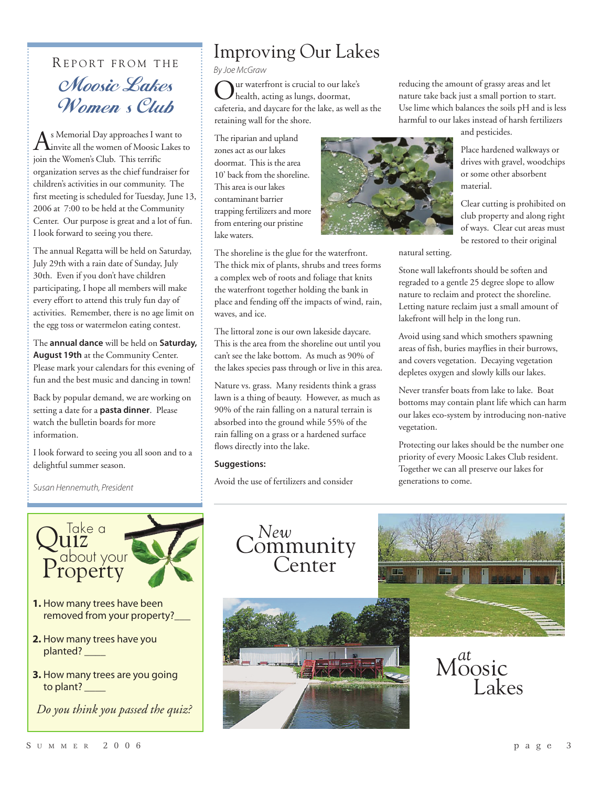# REPORT FROM THE Moosic Lakes Women s Club

As Memorial Day approaches I want to<br>invite all the women of Moosic Lakes to join the Women's Club. This terrific organization serves as the chief fundraiser for children's activities in our community. The first meeting is scheduled for Tuesday, June 13, 2006 at 7:00 to be held at the Community Center. Our purpose is great and a lot of fun. I look forward to seeing you there.

The annual Regatta will be held on Saturday, July 29th with a rain date of Sunday, July 30th. Even if you don't have children participating, I hope all members will make every effort to attend this truly fun day of activities. Remember, there is no age limit on the egg toss or watermelon eating contest.

The *annual dance* will be held on *Saturday, August 19th* at the Community Center. Please mark your calendars for this evening of fun and the best music and dancing in town!

Back by popular demand, we are working on setting a date for a *pasta dinner*. Please watch the bulletin boards for more information.

I look forward to seeing you all soon and to a delightful summer season.

Susan Hennemuth, President



- **2.** How many trees have you planted? \_\_\_\_
- **3.** How many trees are you going to plant? \_\_\_\_\_

*Do you think you passed the quiz?*

# Improving Our Lakes

By Joe McGraw

Our waterfront is crucial to our lake's health, acting as lungs, doormat, cafeteria, and daycare for the lake, as well as the retaining wall for the shore.

The riparian and upland zones act as our lakes doormat. This is the area 10' back from the shoreline. This area is our lakes contaminant barrier trapping fertilizers and more from entering our pristine lake waters.



The shoreline is the glue for the waterfront. The thick mix of plants, shrubs and trees forms a complex web of roots and foliage that knits the waterfront together holding the bank in place and fending off the impacts of wind, rain, waves, and ice.

The littoral zone is our own lakeside daycare. This is the area from the shoreline out until you can't see the lake bottom. As much as 90% of the lakes species pass through or live in this area.

Nature vs. grass. Many residents think a grass lawn is a thing of beauty. However, as much as 90% of the rain falling on a natural terrain is absorbed into the ground while 55% of the rain falling on a grass or a hardened surface flows directly into the lake.

#### *Suggestions:*

Avoid the use of fertilizers and consider

reducing the amount of grassy areas and let nature take back just a small portion to start. Use lime which balances the soils pH and is less harmful to our lakes instead of harsh fertilizers

and pesticides.

Place hardened walkways or drives with gravel, woodchips or some other absorbent material.

Clear cutting is prohibited on club property and along right of ways. Clear cut areas must be restored to their original

natural setting.

Stone wall lakefronts should be soften and regraded to a gentle 25 degree slope to allow nature to reclaim and protect the shoreline. Letting nature reclaim just a small amount of lakefront will help in the long run.

Avoid using sand which smothers spawning areas of fish, buries mayflies in their burrows, and covers vegetation. Decaying vegetation depletes oxygen and slowly kills our lakes.

Never transfer boats from lake to lake. Boat bottoms may contain plant life which can harm our lakes eco-system by introducing non-native vegetation.

Protecting our lakes should be the number one priority of every Moosic Lakes Club resident. Together we can all preserve our lakes for generations to come.